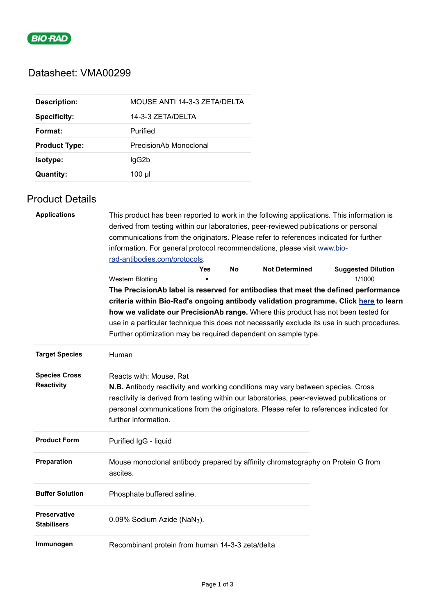

# Datasheet: VMA00299

| <b>Description:</b>  | MOUSE ANTI 14-3-3 ZETA/DELTA |
|----------------------|------------------------------|
| <b>Specificity:</b>  | 14-3-3 ZETA/DELTA            |
| Format:              | Purified                     |
| <b>Product Type:</b> | PrecisionAb Monoclonal       |
| <b>Isotype:</b>      | lgG2b                        |
| <b>Quantity:</b>     | 100 µl                       |

## Product Details

| <b>Applications</b>    |                                                                                                                                                                            | This product has been reported to work in the following applications. This information is |    |                       |                           |  |                                                                                   |
|------------------------|----------------------------------------------------------------------------------------------------------------------------------------------------------------------------|-------------------------------------------------------------------------------------------|----|-----------------------|---------------------------|--|-----------------------------------------------------------------------------------|
|                        | derived from testing within our laboratories, peer-reviewed publications or personal                                                                                       |                                                                                           |    |                       |                           |  |                                                                                   |
|                        | communications from the originators. Please refer to references indicated for further<br>information. For general protocol recommendations, please visit www.bio-          |                                                                                           |    |                       |                           |  |                                                                                   |
|                        |                                                                                                                                                                            |                                                                                           |    |                       |                           |  |                                                                                   |
|                        |                                                                                                                                                                            | Yes                                                                                       | No | <b>Not Determined</b> | <b>Suggested Dilution</b> |  |                                                                                   |
|                        | <b>Western Blotting</b>                                                                                                                                                    |                                                                                           |    |                       | 1/1000                    |  |                                                                                   |
|                        | The PrecisionAb label is reserved for antibodies that meet the defined performance<br>criteria within Bio-Rad's ongoing antibody validation programme. Click here to learn |                                                                                           |    |                       |                           |  |                                                                                   |
|                        |                                                                                                                                                                            |                                                                                           |    |                       |                           |  | how we validate our PrecisionAb range. Where this product has not been tested for |
|                        | use in a particular technique this does not necessarily exclude its use in such procedures.                                                                                |                                                                                           |    |                       |                           |  |                                                                                   |
|                        |                                                                                                                                                                            | Further optimization may be required dependent on sample type.                            |    |                       |                           |  |                                                                                   |
| <b>Target Species</b>  | Human                                                                                                                                                                      |                                                                                           |    |                       |                           |  |                                                                                   |
| <b>Species Cross</b>   | Reacts with: Mouse, Rat                                                                                                                                                    |                                                                                           |    |                       |                           |  |                                                                                   |
| Reactivity             | <b>N.B.</b> Antibody reactivity and working conditions may vary between species. Cross                                                                                     |                                                                                           |    |                       |                           |  |                                                                                   |
|                        | reactivity is derived from testing within our laboratories, peer-reviewed publications or                                                                                  |                                                                                           |    |                       |                           |  |                                                                                   |
|                        | personal communications from the originators. Please refer to references indicated for                                                                                     |                                                                                           |    |                       |                           |  |                                                                                   |
|                        | further information.                                                                                                                                                       |                                                                                           |    |                       |                           |  |                                                                                   |
| <b>Product Form</b>    | Purified IgG - liquid                                                                                                                                                      |                                                                                           |    |                       |                           |  |                                                                                   |
|                        |                                                                                                                                                                            |                                                                                           |    |                       |                           |  |                                                                                   |
| Preparation            | Mouse monoclonal antibody prepared by affinity chromatography on Protein G from<br>ascites.                                                                                |                                                                                           |    |                       |                           |  |                                                                                   |
|                        |                                                                                                                                                                            |                                                                                           |    |                       |                           |  |                                                                                   |
| <b>Buffer Solution</b> | Phosphate buffered saline.                                                                                                                                                 |                                                                                           |    |                       |                           |  |                                                                                   |
| <b>Preservative</b>    | 0.09% Sodium Azide (NaN <sub>3</sub> ).                                                                                                                                    |                                                                                           |    |                       |                           |  |                                                                                   |
| <b>Stabilisers</b>     |                                                                                                                                                                            |                                                                                           |    |                       |                           |  |                                                                                   |
| Immunogen              | Recombinant protein from human 14-3-3 zeta/delta                                                                                                                           |                                                                                           |    |                       |                           |  |                                                                                   |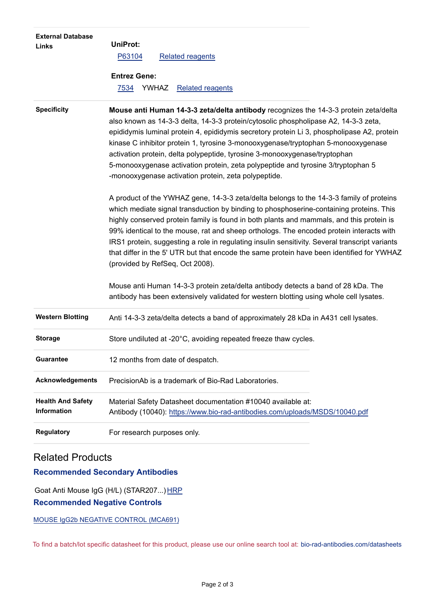| <b>External Database</b><br>Links              | <b>UniProt:</b><br>P63104<br><b>Related reagents</b><br><b>Entrez Gene:</b><br>YWHAZ<br><b>Related reagents</b><br>7534                                                                                                                                                                                                                                                                                                                                                                                                                                                                                     |
|------------------------------------------------|-------------------------------------------------------------------------------------------------------------------------------------------------------------------------------------------------------------------------------------------------------------------------------------------------------------------------------------------------------------------------------------------------------------------------------------------------------------------------------------------------------------------------------------------------------------------------------------------------------------|
| <b>Specificity</b>                             | Mouse anti Human 14-3-3 zeta/delta antibody recognizes the 14-3-3 protein zeta/delta<br>also known as 14-3-3 delta, 14-3-3 protein/cytosolic phospholipase A2, 14-3-3 zeta,<br>epididymis luminal protein 4, epididymis secretory protein Li 3, phospholipase A2, protein<br>kinase C inhibitor protein 1, tyrosine 3-monooxygenase/tryptophan 5-monooxygenase<br>activation protein, delta polypeptide, tyrosine 3-monooxygenase/tryptophan<br>5-monooxygenase activation protein, zeta polypeptide and tyrosine 3/tryptophan 5<br>-monooxygenase activation protein, zeta polypeptide.                    |
|                                                | A product of the YWHAZ gene, 14-3-3 zeta/delta belongs to the 14-3-3 family of proteins<br>which mediate signal transduction by binding to phosphoserine-containing proteins. This<br>highly conserved protein family is found in both plants and mammals, and this protein is<br>99% identical to the mouse, rat and sheep orthologs. The encoded protein interacts with<br>IRS1 protein, suggesting a role in regulating insulin sensitivity. Several transcript variants<br>that differ in the 5' UTR but that encode the same protein have been identified for YWHAZ<br>(provided by RefSeq, Oct 2008). |
|                                                | Mouse anti Human 14-3-3 protein zeta/delta antibody detects a band of 28 kDa. The<br>antibody has been extensively validated for western blotting using whole cell lysates.                                                                                                                                                                                                                                                                                                                                                                                                                                 |
| <b>Western Blotting</b>                        | Anti 14-3-3 zeta/delta detects a band of approximately 28 kDa in A431 cell lysates.                                                                                                                                                                                                                                                                                                                                                                                                                                                                                                                         |
| <b>Storage</b>                                 | Store undiluted at -20°C, avoiding repeated freeze thaw cycles.                                                                                                                                                                                                                                                                                                                                                                                                                                                                                                                                             |
| <b>Guarantee</b>                               | 12 months from date of despatch.                                                                                                                                                                                                                                                                                                                                                                                                                                                                                                                                                                            |
| <b>Acknowledgements</b>                        | PrecisionAb is a trademark of Bio-Rad Laboratories.                                                                                                                                                                                                                                                                                                                                                                                                                                                                                                                                                         |
| <b>Health And Safety</b><br><b>Information</b> | Material Safety Datasheet documentation #10040 available at:<br>Antibody (10040): https://www.bio-rad-antibodies.com/uploads/MSDS/10040.pdf                                                                                                                                                                                                                                                                                                                                                                                                                                                                 |
| <b>Regulatory</b>                              | For research purposes only.                                                                                                                                                                                                                                                                                                                                                                                                                                                                                                                                                                                 |

## Related Products

## **Recommended Secondary Antibodies**

Goat Anti Mouse IgG (H/L) (STAR207...) [HRP](https://www.bio-rad-antibodies.com/polyclonal/mouse-igg-antibody-star207.html) **Recommended Negative Controls**

[MOUSE IgG2b NEGATIVE CONTROL \(MCA691\)](https://www.bio-rad-antibodies.com/control/mouse-igg2b-negative-control-mca691.html)

To find a batch/lot specific datasheet for this product, please use our online search tool at: [bio-rad-antibodies.com/datasheets](https://bio-rad-antibodies.com/datasheets)